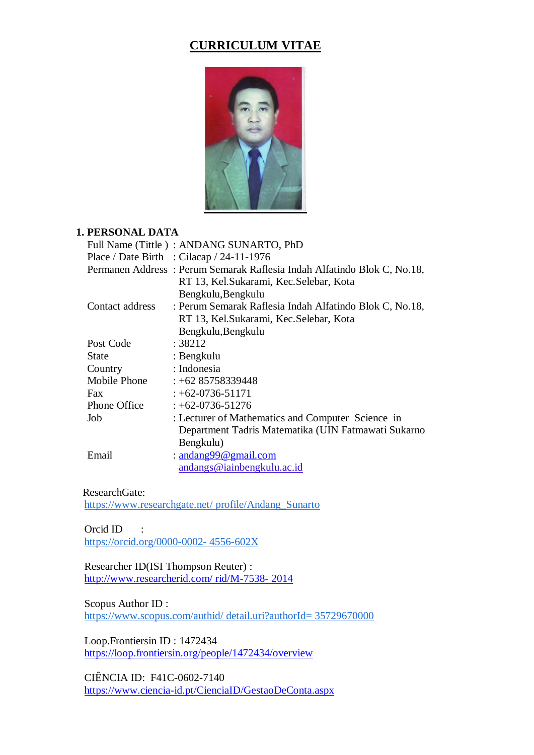# **CURRICULUM VITAE**



### **1. PERSONAL DATA**

|                 | Full Name (Tittle): ANDANG SUNARTO, PhD                                 |
|-----------------|-------------------------------------------------------------------------|
|                 | Place / Date Birth : Cilacap / 24-11-1976                               |
|                 | Permanen Address: Perum Semarak Raflesia Indah Alfatindo Blok C, No.18, |
|                 | RT 13, Kel. Sukarami, Kec. Selebar, Kota                                |
|                 | Bengkulu, Bengkulu                                                      |
| Contact address | : Perum Semarak Raflesia Indah Alfatindo Blok C, No.18,                 |
|                 | RT 13, Kel. Sukarami, Kec. Selebar, Kota                                |
|                 | Bengkulu, Bengkulu                                                      |
| Post Code       | : 38212                                                                 |
| State           | : Bengkulu                                                              |
| Country         | : Indonesia                                                             |
| Mobile Phone    | $: +6285758339448$                                                      |
| Fax             | $: +62 - 0736 - 51171$                                                  |
| Phone Office    | $: +62-0736-51276$                                                      |
| Job             | : Lecturer of Mathematics and Computer Science in                       |
|                 | Department Tadris Matematika (UIN Fatmawati Sukarno                     |
|                 | Bengkulu)                                                               |
| Email           | : andang99@gmail.com                                                    |
|                 | andangs@iainbengkulu.ac.id                                              |

ResearchGate:

[https://www.researchgate.net/ profile/Andang\\_Sunarto](https://orcid.org/0000-0002-4556-602X)

Orcid ID : [https://orcid.org/0000-0002-](https://orcid.org/0000-0002-4556-602X) 4556-602[X](https://orcid.org/0000-0002-4556-602X)

 Researcher ID(ISI Thompson Reuter) : [http://www.researcherid.com/ rid/M-7538-](http://www.researcherid.com/%20rid/M-7538-%202014) 2014

Scopus Author ID :

[https://www.scopus.com/authid/ detail.uri?authorId= 35729670000](https://www.scopus.com/authid/detail.uri?authorId=35729670000)

 Loop.Frontiersin ID : 1472434 <https://loop.frontiersin.org/people/1472434/overview>

 CIÊNCIA ID: F41C-0602-7140 <https://www.ciencia-id.pt/CienciaID/GestaoDeConta.aspx>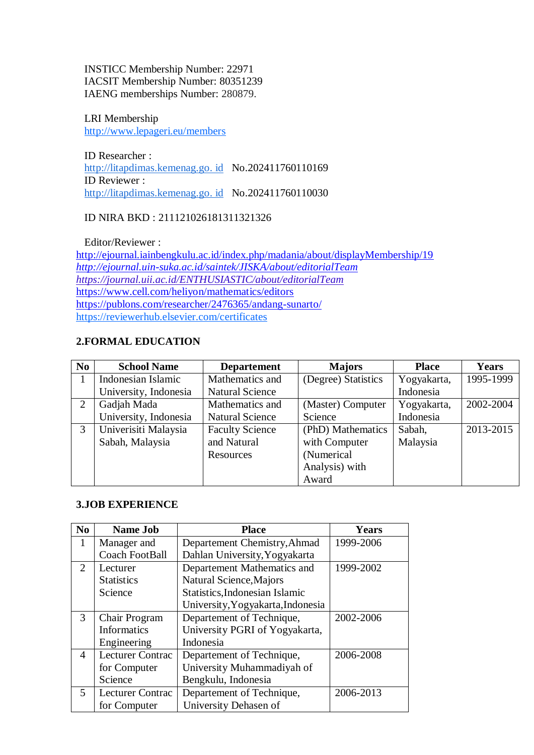INSTICC Membership Number: 22971 IACSIT Membership Number: 80351239 IAENG memberships Number: 280879.

 LRI Membership http://www.lepageri.eu/members

 ID Researcher : [http://litapdimas.kemenag.go. id](http://litapdimas.kemenag.go.id/) No.202411760110169 ID Reviewer : [http://litapdimas.kemenag.go. id](http://litapdimas.kemenag.go.id/) No.202411760110030

### ID NIRA BKD : 211121026181311321326

Editor/Reviewer :

<http://ejournal.iainbengkulu.ac.id/index.php/madania/about/displayMembership/19> *<http://ejournal.uin-suka.ac.id/saintek/JISKA/about/editorialTeam> https://journal.uii.ac.id/ENTHUSIASTIC/about/editorialTeam* <https://www.cell.com/heliyon/mathematics/editors> <https://publons.com/researcher/2476365/andang-sunarto/> https://reviewerhub.elsevier.com/certificates

### **2.FORMAL EDUCATION**

| N <sub>0</sub> | <b>School Name</b>    | <b>Departement</b>     | <b>Majors</b>       | <b>Place</b> | Years     |
|----------------|-----------------------|------------------------|---------------------|--------------|-----------|
|                | Indonesian Islamic    | Mathematics and        | (Degree) Statistics | Yogyakarta,  | 1995-1999 |
|                | University, Indonesia | <b>Natural Science</b> |                     | Indonesia    |           |
| 2              | Gadjah Mada           | Mathematics and        | (Master) Computer   | Yogyakarta,  | 2002-2004 |
|                | University, Indonesia | <b>Natural Science</b> | Science             | Indonesia    |           |
| 3              | Univerisiti Malaysia  | <b>Faculty Science</b> | (PhD) Mathematics   | Sabah,       | 2013-2015 |
|                | Sabah, Malaysia       | and Natural            | with Computer       | Malaysia     |           |
|                |                       | Resources              | (Numerical          |              |           |
|                |                       |                        | Analysis) with      |              |           |
|                |                       |                        | Award               |              |           |

#### **3.JOB EXPERIENCE**

| N <sub>0</sub> | <b>Name Job</b>         | <b>Place</b>                          | <b>Years</b> |
|----------------|-------------------------|---------------------------------------|--------------|
| 1              | Manager and             | Departement Chemistry, Ahmad          | 1999-2006    |
|                | Coach FootBall          | Dahlan University, Yogyakarta         |              |
| 2              | Lecturer                | Departement Mathematics and           | 1999-2002    |
|                | <b>Statistics</b>       | Natural Science, Majors               |              |
|                | Science                 | <b>Statistics, Indonesian Islamic</b> |              |
|                |                         | University, Yogyakarta, Indonesia     |              |
| 3              | Chair Program           | Departement of Technique,             | 2002-2006    |
|                | <b>Informatics</b>      | University PGRI of Yogyakarta,        |              |
|                | Engineering             | Indonesia                             |              |
| 4              | <b>Lecturer Contrac</b> | Departement of Technique,             | 2006-2008    |
|                | for Computer            | University Muhammadiyah of            |              |
|                | Science                 | Bengkulu, Indonesia                   |              |
| 5              | <b>Lecturer Contrac</b> | Departement of Technique,             | 2006-2013    |
|                | for Computer            | University Dehasen of                 |              |